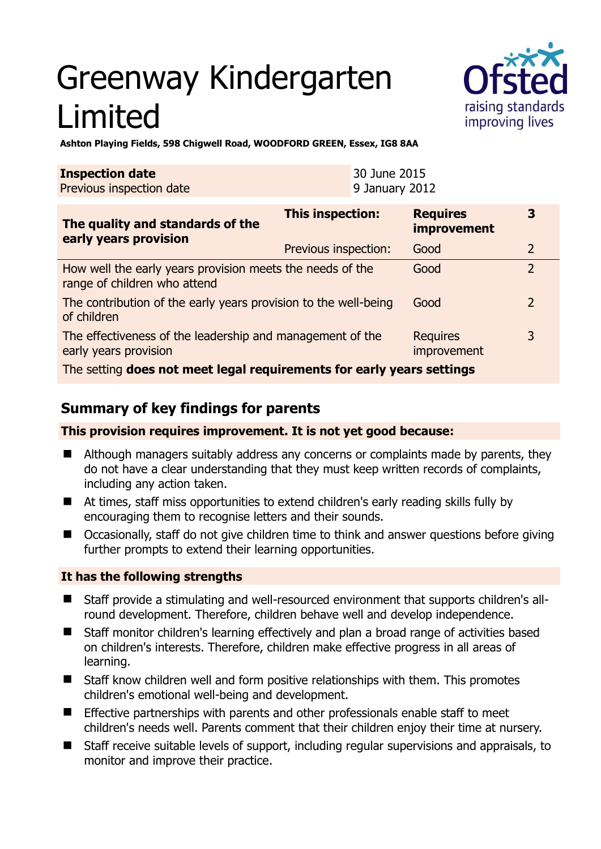# Greenway Kindergarten Limited



**Ashton Playing Fields, 598 Chigwell Road, WOODFORD GREEN, Essex, IG8 8AA** 

| <b>Inspection date</b>   | 30 June 2015   |
|--------------------------|----------------|
| Previous inspection date | 9 January 2012 |

| The quality and standards of the<br>early years provision                                 | <b>This inspection:</b> | <b>Requires</b><br>improvement | 3              |
|-------------------------------------------------------------------------------------------|-------------------------|--------------------------------|----------------|
|                                                                                           | Previous inspection:    | Good                           | $\overline{2}$ |
| How well the early years provision meets the needs of the<br>range of children who attend |                         | Good                           | $\overline{2}$ |
| The contribution of the early years provision to the well-being<br>of children            |                         | Good                           | $\overline{2}$ |
| The effectiveness of the leadership and management of the<br>early years provision        |                         | <b>Requires</b><br>improvement | 3              |
| The setting does not meet legal requirements for early years settings                     |                         |                                |                |

# **Summary of key findings for parents**

### **This provision requires improvement. It is not yet good because:**

- Although managers suitably address any concerns or complaints made by parents, they do not have a clear understanding that they must keep written records of complaints, including any action taken.
- At times, staff miss opportunities to extend children's early reading skills fully by encouraging them to recognise letters and their sounds.
- Occasionally, staff do not give children time to think and answer questions before giving further prompts to extend their learning opportunities.

## **It has the following strengths**

- Staff provide a stimulating and well-resourced environment that supports children's allround development. Therefore, children behave well and develop independence.
- Staff monitor children's learning effectively and plan a broad range of activities based on children's interests. Therefore, children make effective progress in all areas of learning.
- Staff know children well and form positive relationships with them. This promotes children's emotional well-being and development.
- Effective partnerships with parents and other professionals enable staff to meet children's needs well. Parents comment that their children enjoy their time at nursery.
- Staff receive suitable levels of support, including regular supervisions and appraisals, to monitor and improve their practice.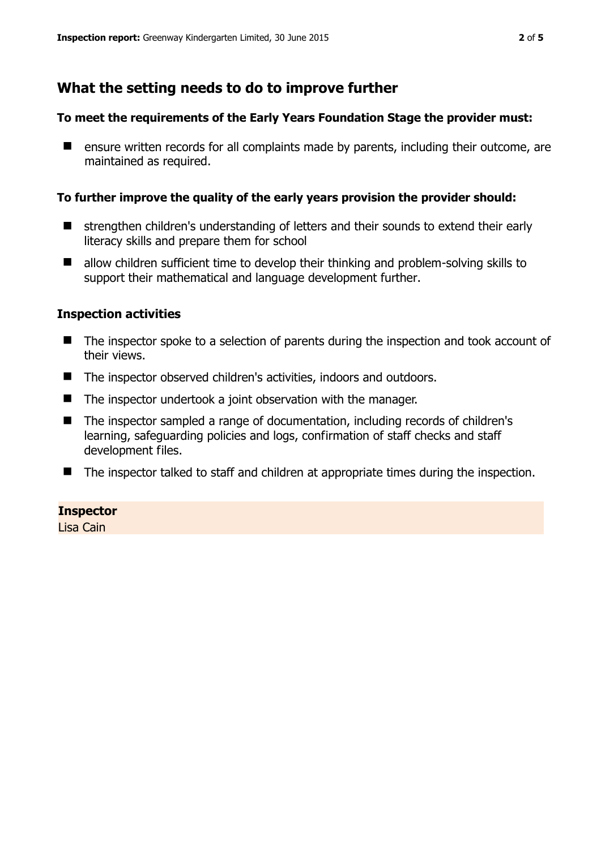# **What the setting needs to do to improve further**

#### **To meet the requirements of the Early Years Foundation Stage the provider must:**

**E** ensure written records for all complaints made by parents, including their outcome, are maintained as required.

#### **To further improve the quality of the early years provision the provider should:**

- strengthen children's understanding of letters and their sounds to extend their early literacy skills and prepare them for school
- allow children sufficient time to develop their thinking and problem-solving skills to support their mathematical and language development further.

#### **Inspection activities**

- The inspector spoke to a selection of parents during the inspection and took account of their views.
- The inspector observed children's activities, indoors and outdoors.
- The inspector undertook a joint observation with the manager.
- The inspector sampled a range of documentation, including records of children's learning, safeguarding policies and logs, confirmation of staff checks and staff development files.
- The inspector talked to staff and children at appropriate times during the inspection.

#### **Inspector**

Lisa Cain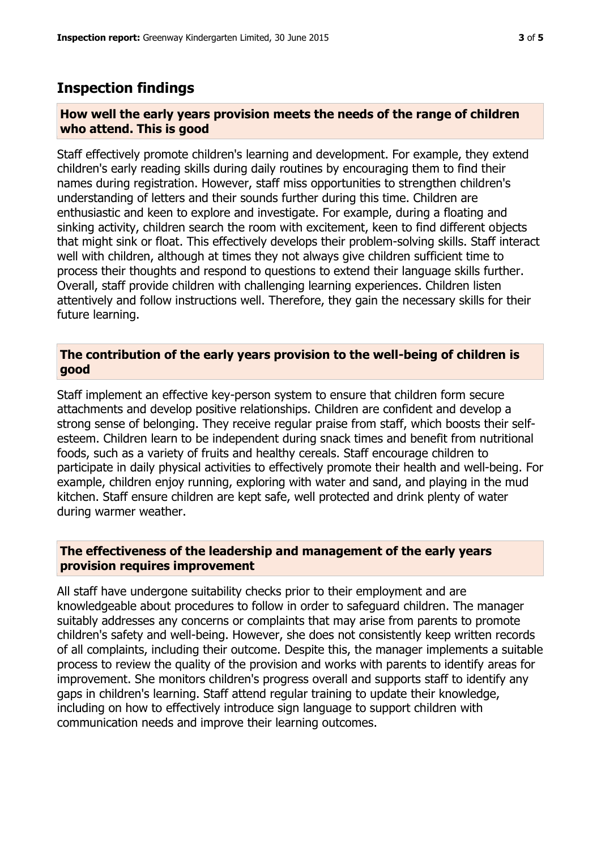## **Inspection findings**

#### **How well the early years provision meets the needs of the range of children who attend. This is good**

Staff effectively promote children's learning and development. For example, they extend children's early reading skills during daily routines by encouraging them to find their names during registration. However, staff miss opportunities to strengthen children's understanding of letters and their sounds further during this time. Children are enthusiastic and keen to explore and investigate. For example, during a floating and sinking activity, children search the room with excitement, keen to find different objects that might sink or float. This effectively develops their problem-solving skills. Staff interact well with children, although at times they not always give children sufficient time to process their thoughts and respond to questions to extend their language skills further. Overall, staff provide children with challenging learning experiences. Children listen attentively and follow instructions well. Therefore, they gain the necessary skills for their future learning.

#### **The contribution of the early years provision to the well-being of children is good**

Staff implement an effective key-person system to ensure that children form secure attachments and develop positive relationships. Children are confident and develop a strong sense of belonging. They receive regular praise from staff, which boosts their selfesteem. Children learn to be independent during snack times and benefit from nutritional foods, such as a variety of fruits and healthy cereals. Staff encourage children to participate in daily physical activities to effectively promote their health and well-being. For example, children enjoy running, exploring with water and sand, and playing in the mud kitchen. Staff ensure children are kept safe, well protected and drink plenty of water during warmer weather.

#### **The effectiveness of the leadership and management of the early years provision requires improvement**

All staff have undergone suitability checks prior to their employment and are knowledgeable about procedures to follow in order to safeguard children. The manager suitably addresses any concerns or complaints that may arise from parents to promote children's safety and well-being. However, she does not consistently keep written records of all complaints, including their outcome. Despite this, the manager implements a suitable process to review the quality of the provision and works with parents to identify areas for improvement. She monitors children's progress overall and supports staff to identify any gaps in children's learning. Staff attend regular training to update their knowledge, including on how to effectively introduce sign language to support children with communication needs and improve their learning outcomes.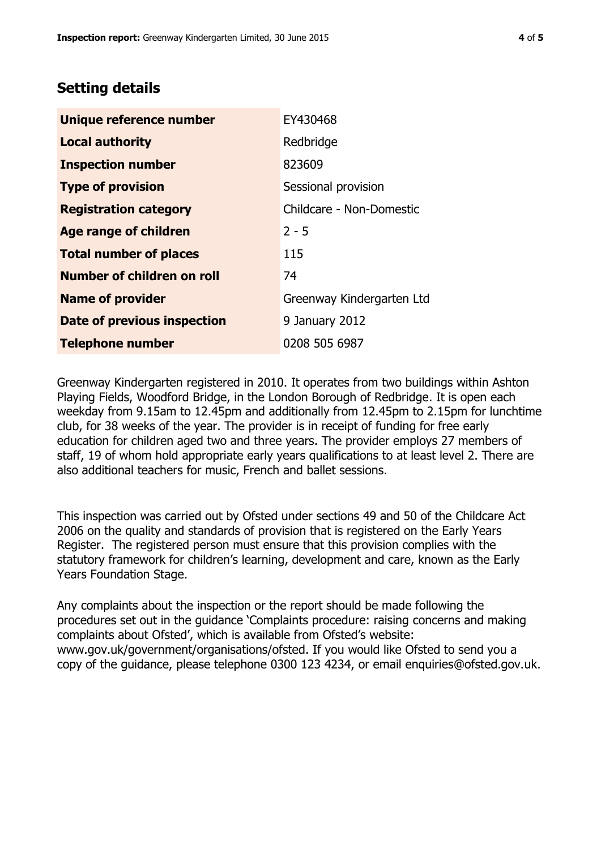## **Setting details**

| Unique reference number       | EY430468                  |  |
|-------------------------------|---------------------------|--|
| <b>Local authority</b>        | Redbridge                 |  |
| <b>Inspection number</b>      | 823609                    |  |
| <b>Type of provision</b>      | Sessional provision       |  |
| <b>Registration category</b>  | Childcare - Non-Domestic  |  |
| <b>Age range of children</b>  | $2 - 5$                   |  |
| <b>Total number of places</b> | 115                       |  |
| Number of children on roll    | 74                        |  |
| <b>Name of provider</b>       | Greenway Kindergarten Ltd |  |
| Date of previous inspection   | 9 January 2012            |  |
| <b>Telephone number</b>       | 0208 505 6987             |  |

Greenway Kindergarten registered in 2010. It operates from two buildings within Ashton Playing Fields, Woodford Bridge, in the London Borough of Redbridge. It is open each weekday from 9.15am to 12.45pm and additionally from 12.45pm to 2.15pm for lunchtime club, for 38 weeks of the year. The provider is in receipt of funding for free early education for children aged two and three years. The provider employs 27 members of staff, 19 of whom hold appropriate early years qualifications to at least level 2. There are also additional teachers for music, French and ballet sessions.

This inspection was carried out by Ofsted under sections 49 and 50 of the Childcare Act 2006 on the quality and standards of provision that is registered on the Early Years Register. The registered person must ensure that this provision complies with the statutory framework for children's learning, development and care, known as the Early Years Foundation Stage.

Any complaints about the inspection or the report should be made following the procedures set out in the guidance 'Complaints procedure: raising concerns and making complaints about Ofsted', which is available from Ofsted's website: www.gov.uk/government/organisations/ofsted. If you would like Ofsted to send you a copy of the guidance, please telephone 0300 123 4234, or email enquiries@ofsted.gov.uk.